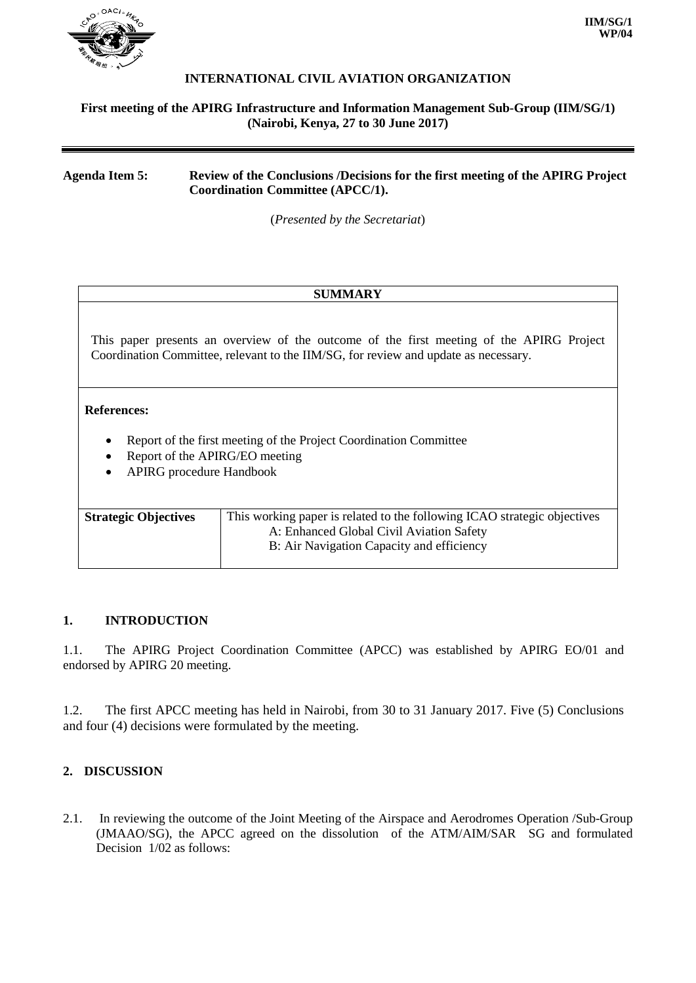

### **INTERNATIONAL CIVIL AVIATION ORGANIZATION**

#### **First meeting of the APIRG Infrastructure and Information Management Sub-Group (IIM/SG/1) (Nairobi, Kenya, 27 to 30 June 2017)**

**Agenda Item 5: Review of the Conclusions /Decisions for the first meeting of the APIRG Project Coordination Committee (APCC/1).**

(*Presented by the Secretariat*)

#### **SUMMARY**

This paper presents an overview of the outcome of the first meeting of the APIRG Project Coordination Committee, relevant to the IIM/SG, for review and update as necessary.

#### **References:**

- Report of the first meeting of the Project Coordination Committee
- Report of the APIRG/EO meeting
- APIRG procedure Handbook

| <b>Strategic Objectives</b> | This working paper is related to the following ICAO strategic objectives |
|-----------------------------|--------------------------------------------------------------------------|
|                             | A: Enhanced Global Civil Aviation Safety                                 |
|                             | B: Air Navigation Capacity and efficiency                                |
|                             |                                                                          |

#### **1. INTRODUCTION**

1.1. The APIRG Project Coordination Committee (APCC) was established by APIRG EO/01 and endorsed by APIRG 20 meeting.

1.2. The first APCC meeting has held in Nairobi, from 30 to 31 January 2017. Five (5) Conclusions and four (4) decisions were formulated by the meeting.

### **2. DISCUSSION**

2.1. In reviewing the outcome of the Joint Meeting of the Airspace and Aerodromes Operation /Sub-Group (JMAAO/SG), the APCC agreed on the dissolution of the ATM/AIM/SAR SG and formulated Decision 1/02 as follows: